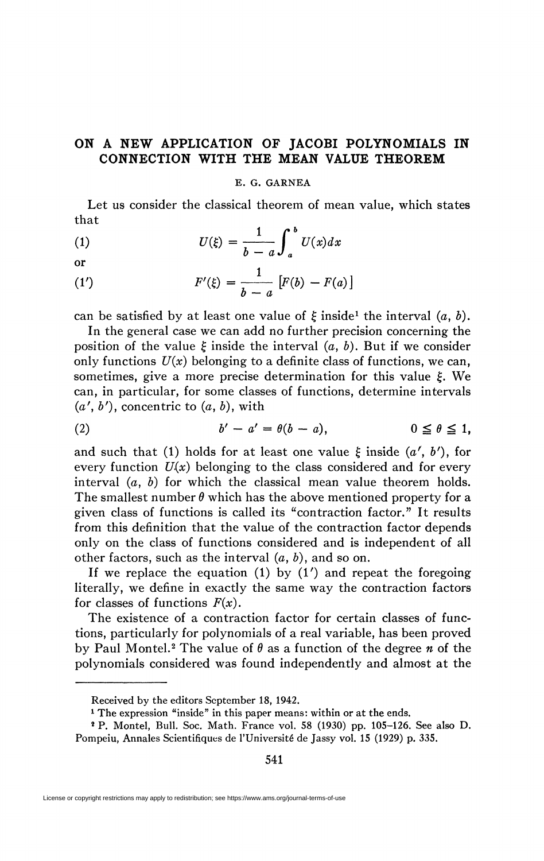## **ON A NEW APPLICATION OF JACOBI POLYNOMIALS IN CONNECTION WITH THE MEAN VALUE THEOREM**

## E. G. GARNEA

Let us consider the classical theorem of mean value, which states that

(1) 
$$
U(\xi) = \frac{1}{b-a} \int_a^b U(x) dx
$$
 or

(1') 
$$
F'(\xi) = \frac{1}{b-a} [F(b) - F(a)]
$$

can be satisfied by at least one value of  $\xi$  inside<sup>1</sup> the interval  $(a, b)$ .

In the general case we can add no further precision concerning the position of the value  $\xi$  inside the interval  $(a, b)$ . But if we consider only functions  $U(x)$  belonging to a definite class of functions, we can, sometimes, give a more precise determination for this value  $\xi$ . We can, in particular, for some classes of functions, determine intervals  $(a', b')$ , concentric to  $(a, b)$ , with

$$
(2) \t b' - a' = \theta(b - a), \t 0 \leq \theta \leq 1,
$$

and such that (1) holds for at least one value  $\xi$  inside  $(a', b')$ , for every function  $U(x)$  belonging to the class considered and for every interval (a, *b)* for which the classical mean value theorem holds. The smallest number  $\theta$  which has the above mentioned property for a given class of functions is called its "contraction factor." It results from this definition that the value of the contraction factor depends only on the class of functions considered and is independent of all other factors, such as the interval *(a,* &), and so on.

If we replace the equation  $(1)$  by  $(1')$  and repeat the foregoing literally, we define in exactly the same way the contraction factors for classes of functions  $F(x)$ .

The existence of a contraction factor for certain classes of functions, particularly for polynomials of a real variable, has been proved by Paul Montel.<sup>2</sup> The value of  $\theta$  as a function of the degree  $n$  of the polynomials considered was found independently and almost at the

Received by the editors September 18, 1942.

<sup>&</sup>lt;sup>1</sup> The expression "inside" in this paper means: within or at the ends.

<sup>2</sup> P. Montel, Bull. Soc. Math. France vol. 58 (1930) pp. 105-126. See also D. Pompeiu, Annales Scientifiques de l'Université de Jassy vol. 15 (1929) p. 335.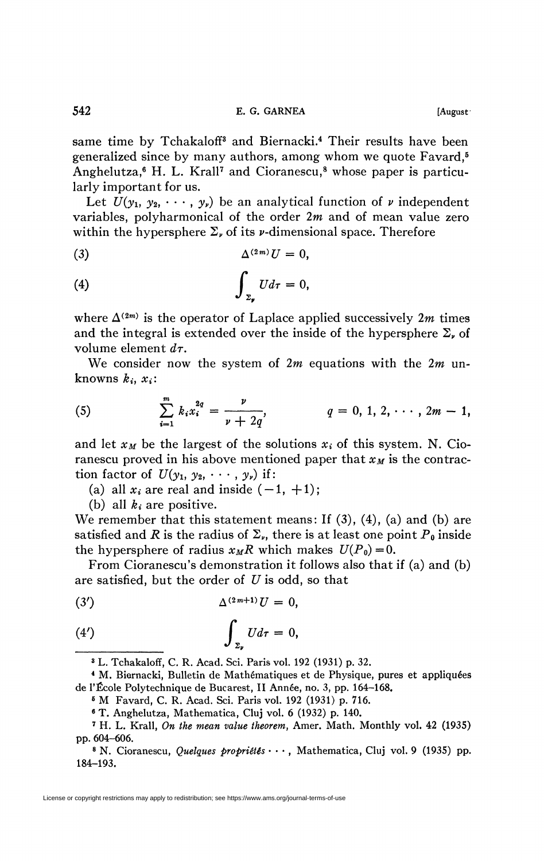same time by Tchakaloff<sup>3</sup> and Biernacki.<sup>4</sup> Their results have been generalized since by many authors, among whom we quote Favard,<sup>5</sup> Anghelutza,<sup>6</sup> H. L. Krall<sup>7</sup> and Cioranescu,<sup>8</sup> whose paper is particu-

larly important for us.

Let  $U(y_1, y_2, \dots, y_r)$  be an analytical function of *v* independent variables, polyharmonical of the order *2m* and of mean value zero within the hypersphere  $\Sigma_{\nu}$  of its  $\nu$ -dimensional space. Therefore

(3) A<<sup>2</sup> ^£/ = 0,

$$
\int_{z_r} U d\tau = 0,
$$

where  $\Delta^{(2m)}$  is the operator of Laplace applied successively  $2m$  times and the integral is extended over the inside of the hypersphere  $\Sigma_{\nu}$  of volume element *dr.* 

We consider now the system of *2m* equations with the *2m* unknowns  $k_i$ ,  $x_i$ :

(5) 
$$
\sum_{i=1}^{m} k_i x_i^{2q} = \frac{\nu}{\nu + 2q}, \qquad q = 0, 1, 2, \cdots, 2m - 1,
$$

and let  $x_M$  be the largest of the solutions  $x_i$  of this system. N. Cioranescu proved in his above mentioned paper that  $x_M$  is the contraction factor of  $U(y_1, y_2, \cdots, y_\nu)$  if:

(a) all  $x_i$  are real and inside  $(-1, +1)$ ;

(b) all *ki* are positive.

We remember that this statement means: If  $(3)$ ,  $(4)$ ,  $(a)$  and  $(b)$  are satisfied and *R* is the radius of  $\Sigma_{\nu}$ , there is at least one point  $P_{\theta}$  inside the hypersphere of radius  $x_M R$  which makes  $U(P_0) = 0$ .

From Cioranescu's demonstration it follows also that if (a) and (b) are satisfied, but the order of *U* is odd, so that

$$
\Delta^{(2m+1)}U=0,
$$

$$
(4') \qquad \qquad \int_{\Sigma_{\mathfrak{p}}} U d\tau = 0,
$$

3 L. Tchakaloff, C. R. Acad. Sci. Paris vol. 192 (1931) p. 32.

4 M. Biernacki, Bulletin de Mathématiques et de Physique, pures et appliquées de l'École Polytechnique de Bucarest, II Année, no. 3, pp. 164-168.

s M Favard, C. R. Acad. Sci. Paris vol. 192 (1931) p. 716.

6 T. Anghelutza, Mathematica, Cluj vol. 6 (1932) p. 140.

<sup>7</sup> H. L. Krall, *On the mean value theorem,* Amer. Math. Monthly vol. 42 (1935) pp. 604-606.

<sup>8</sup> N. Cioranescu, *Quelques propriétés* • • • , Mathematica, Cluj vol. 9 (1935) pp. 184-193.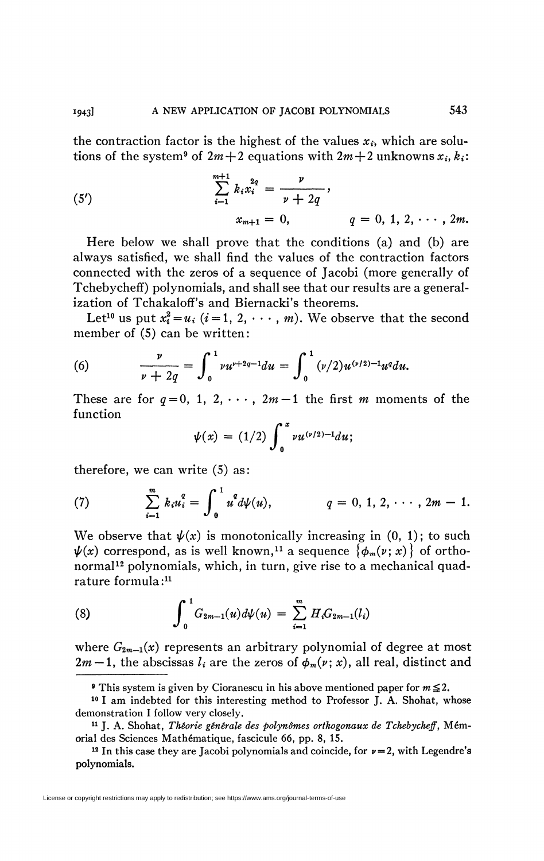the contraction factor is the highest of the values  $x_i$ , which are solutions of the system<sup>9</sup> of  $2m+2$  equations with  $2m+2$  unknowns  $x_i, k_i$ :

(5') 
$$
\sum_{i=1}^{m+1} k_i x_i^{2q} = \frac{\nu}{\nu + 2q},
$$

$$
x_{m+1} = 0, \qquad q = 0, 1, 2, \cdots, 2m.
$$

Here below we shall prove that the conditions (a) and (b) are always satisfied, we shall find the values of the contraction factors connected with the zeros of a sequence of Jacobi (more generally of Tchebycheff) polynomials, and shall see that our results are a generalization of Tchakaloff's and Biernacki's theorems.

Let<sup>10</sup> us put  $x_i^2 = u_i$   $(i = 1, 2, \cdots, m)$ . We observe that the second member of  $(5)$  can be written:

(6) 
$$
\frac{\nu}{\nu+2q}=\int_0^1 \nu u^{\nu+2q-1} du=\int_0^1 (\nu/2)u^{(\nu/2)-1}u^q du.
$$

These are for  $q = 0, 1, 2, \cdots$ ,  $2m-1$  the first m moments of the function

$$
\psi(x) = (1/2) \int_0^x \nu u^{(\nu/2)-1} du;
$$

therefore, we can write (5) as:

(7) 
$$
\sum_{i=1}^{m} k_i u_i^q = \int_0^1 u^q d\psi(u), \qquad q = 0, 1, 2, \cdots, 2m - 1.
$$

We observe that  $\psi(x)$  is monotonically increasing in  $(0, 1)$ ; to such  $\pmb{\psi}(x)$  correspond, as is well known,<sup>11</sup> a sequence  $\big\{\pmb{\phi}_m(\pmb{\nu};\pmb{x})\big\}$  of orthonormal<sup>12</sup> polynomials, which, in turn, give rise to a mechanical quadrature formula:<sup>11</sup>

(8) 
$$
\int_0^1 G_{2m-1}(u) d\psi(u) = \sum_{i=1}^m H_i G_{2m-1}(l_i)
$$

where  $G_{2m-1}(x)$  represents an arbitrary polynomial of degree at most  $2m-1$ , the abscissas  $l_i$  are the zeros of  $\phi_m(v; x)$ , all real, distinct and

License or copyright restrictions may apply to redistribution; see https://www.ams.org/journal-terms-of-use

**This system is given by Cioranescu in his above mentioned paper for**  $m \le 2$ **.** 

<sup>&</sup>lt;sup>10</sup> I am indebted for this interesting method to Professor J. A. Shohat, whose demonstration I follow very closely.

<sup>11</sup> J. A. Shohat, *Théorie générale des polynômes orthogonaux de Tchebycheff,* Mémorial des Sciences Mathématique, fascicule 66, pp. 8, 15.

<sup>&</sup>lt;sup>12</sup> In this case they are Jacobi polynomials and coincide, for  $\nu = 2$ , with Legendre's polynomials.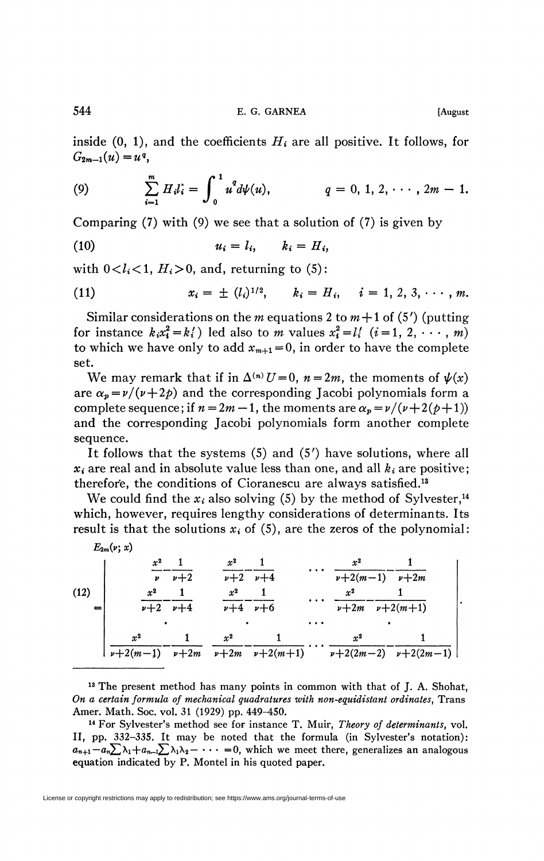544 E. G. GARNEA [August]

inside  $(0, 1)$ , and the coefficients  $H_i$  are all positive. It follows, for  $G_{2m-1}(u)=u^q$ 

(9) 
$$
\sum_{i=1}^{m} H_i l_i = \int_0^1 u^q d\psi(u), \qquad q = 0, 1, 2, \cdots, 2m - 1.
$$

Comparing  $(7)$  with  $(9)$  we see that a solution of  $(7)$  is given by

$$
(10) \t\t\t u_i = l_i, \t\t k_i = H_i,
$$

with  $0 < l_i < 1$ ,  $H_i > 0$ , and, returning to (5):

(11) 
$$
x_i = \pm (l_i)^{1/2}, \quad k_i = H_i, \quad i = 1, 2, 3, \cdots, m.
$$

Similar considerations on the *m* equations 2 to  $m+1$  of (5') (putting for instance  $k_i x_i^2 = k_i'$ ) led also to *m* values  $x_i^2 = l_i'$   $(i = 1, 2, \dots, m)$ to which we have only to add  $x_{m+1} = 0$ , in order to have the complete set.

We may remark that if in  $\Delta^{(n)} U = 0$ ,  $n = 2m$ , the moments of  $\psi(x)$ are  $\alpha_p = \nu/(\nu + 2\rho)$  and the corresponding Jacobi polynomials form a complete sequence; if  $n = 2m - 1$ , the moments are  $\alpha_p = \nu/(\nu + 2(\rho + 1))$ and the corresponding Jacobi polynomials form another complete sequence.

It follows that the systems (5) and (5') have solutions, where all  $x_i$  are real and in absolute value less than one, and all  $k_i$  are positive; therefore, the conditions of Cioranescu are always satisfied.<sup>13</sup>

We could find the  $x_i$  also solving (5) by the method of Sylvester,<sup>14</sup> which, however, requires lengthy considerations of determinants. Its result is that the solutions  $x_i$  of  $(5)$ , are the zeros of the polynomial:

*E2m(v)*  $(x)$  $x^2$  1 | *v+2(m-l) p+2m x\** **1**  *v+2tn i>+2(tn+l) x 2*  **1**   $\begin{array}{l}\nu+2(m-1) \quad \nu+2m \quad \nu+2m \quad \nu+2(m+1) \qquad \nu+2(2m-2) \quad \nu+2(2m-1) \mid \nu+2(m-1) \mid \nu+2(m-2) \end{array}$ (12) *X <sup>2</sup>* 1 *v p+2 X <sup>2</sup>* 1 *p*+2 *p*+4 *x <sup>2</sup>* 1 *P+2 P+4: X <sup>2</sup>* 1 *p+4 p+6* 

13 The present method has many points in common with that of J. A. Shohat, *On a certain formula of mechanical quadratures with non-equidistant ordinates,* Trans Amer. Math. Soc. vol. 31 (1929) pp. 449-450.

14 For Sylvester's method see for instance T. Muir, *Theory of determinants,* vol. II, pp. 332-335. It may be noted that the formula (in Sylvester's notation):  $a_{n+1}-a_n\sum_{i}\lambda_1+a_{n-i}\sum_{i}\lambda_1\lambda_2-\cdots=0$ , which we meet there, generalizes an analogous equation indicated by P. Montel in his quoted paper.

License or copyright restrictions may apply to redistribution; see https://www.ams.org/journal-terms-of-use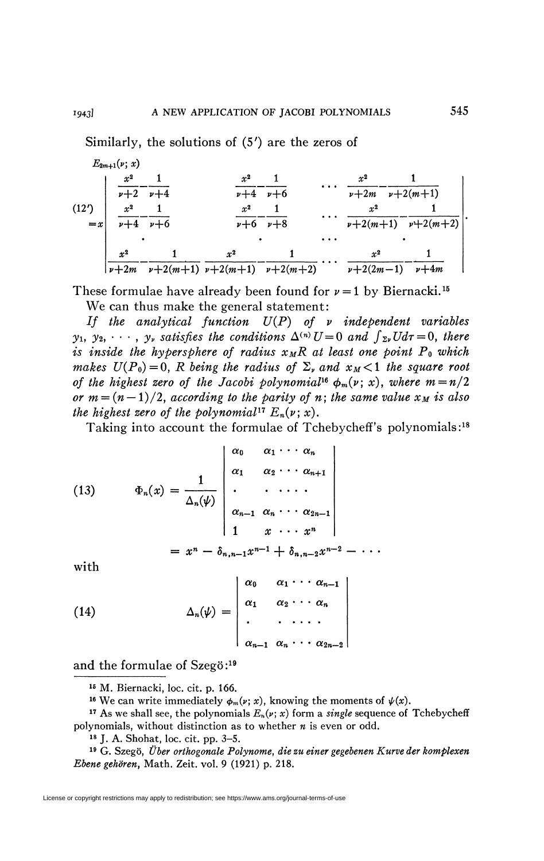Similarly, the solutions of (5') are the zeros of  $E_{2m+1}(\nu; x)$ *x 2* 1 *2 X*  $\frac{1}{2}$  $\overline{v+2m}$  $\begin{array}{c} \begin{array}{c} \begin{array}{c} \begin{array}{c} \end{array}\\ \end{array} \end{array} \end{array}$  $\nu+4$   $\nu+6$ *V+2 V+4:*   $(12')$ *x 2* 1 *2 x 2 X* 1  $\frac{1}{2}$ 

*X*   $x^{\mathrm{z}}$  1  $\nu+6$   $\nu+8$  $x^2$  1  $\nu+2(m+1)$ 1  $\frac{v+2(m+1)}{v+2(m+1)}$   $\frac{v+2(m+2)}{v+2(m+2)}$   $\cdots$   $\frac{v+2(2m-1)}{v+2(m+1)}$ 

These formulae have already been found for  $\nu = 1$  by Biernacki.<sup>15</sup>

We can thus make the general statement:

*If the analytical function U(P) of v independent variables y*<sub>1</sub>, *y*<sub>2</sub>,  $\cdots$ , *y*<sub>*v*</sub> satisfies the conditions  $\Delta^{(n)}U = 0$  and  $\int_{\Sigma} v U d\tau = 0$ , there *is inside the hypersphere of radius*  $x_MR$  *at least one point*  $P_0$  which *makes*  $U(P_0)=0$ *, R being the radius of*  $\Sigma_{\nu}$  *and*  $x_M<1$  *the square root of the highest zero of the Jacobi polynomial*<sup>16</sup>  $\phi_m(\nu; x)$ , where  $m = n/2$ *or*  $m = (n-1)/2$ , according to the parity of n; the same value  $x_M$  is also *the highest zero of the polynomial*<sup>17</sup>  $E_n(\nu; x)$ .

Taking into account the formulae of Tchebycheff's polynomials:<sup>18</sup>

(13) 
$$
\Phi_n(x) = \frac{1}{\Delta_n(\psi)} \begin{vmatrix} \alpha_0 & \alpha_1 \cdots \alpha_n \\ \alpha_1 & \alpha_2 \cdots \alpha_{n+1} \\ \vdots & \vdots \\ \alpha_{n-1} & \alpha_n \cdots \alpha_{2n-1} \\ 1 & x & \cdots & x^n \end{vmatrix}
$$

$$
= x^n - \delta_{n,n-1} x^{n-1} + \delta_{n,n-2} x^{n-2} - \cdots
$$

with

(14) 
$$
\Delta_n(\psi) = \begin{vmatrix} \alpha_0 & \alpha_1 \cdots \alpha_{n-1} \\ \alpha_1 & \alpha_2 \cdots \alpha_n \\ \vdots & \vdots \\ \alpha_{n-1} & \alpha_n \cdots \alpha_{2n-2} \end{vmatrix}
$$

and the formulae of Szegö:<sup>19</sup>

<sup>16</sup> We can write immediately  $\phi_m(\nu; x)$ , knowing the moments of  $\psi(x)$ .

<sup>17</sup> As we shall see, the polynomials  $E_n(v; x)$  form a *single* sequence of Tchebycheff polynomials, without distinction as to whether *n* is even or odd.

18 J. A. Shohat, loc. cit. pp. 3-5.

<sup>19</sup> G. Szegö, Über orthogonale Polynome, die zu einer gegebenen Kurve der komplexen *Ebene gehören,* Math. Zeit. vol. 9 (1921) p. 218.

License or copyright restrictions may apply to redistribution; see https://www.ams.org/journal-terms-of-use

1

<sup>15</sup> M. Biernacki, loc. cit. p. 166.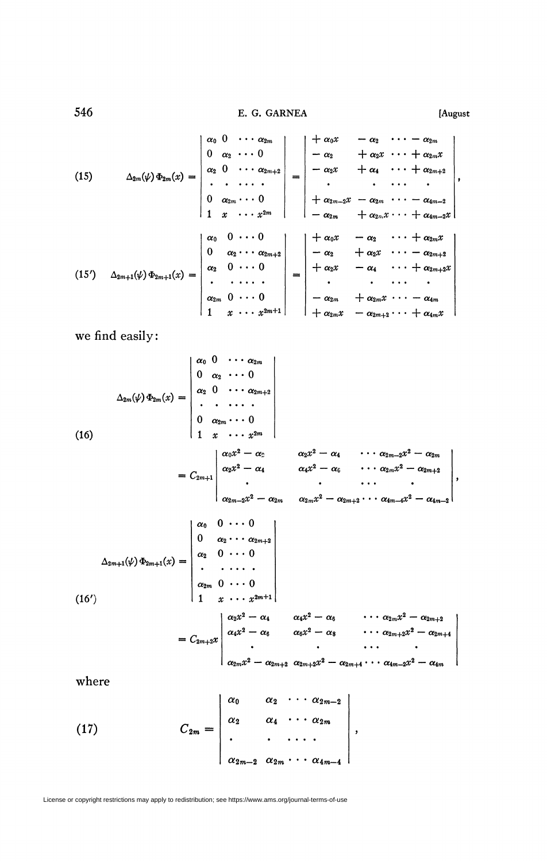546 **E. G. GARNEA [August** 

(15) 
$$
\Delta_{2m}(\psi) \Phi_{2m}(x) = \begin{vmatrix} \alpha_0 & 0 & \cdots & \alpha_{2m} \\ 0 & \alpha_2 & \cdots & 0 \\ \alpha_2 & 0 & \cdots & \alpha_{2m+2} \\ \vdots & \vdots & \ddots & \vdots \\ 0 & \alpha_{2m} & \cdots & 0 \\ 1 & x & \cdots & x^{2m} \end{vmatrix} = \begin{vmatrix} +\alpha_0 x & -\alpha_2 & \cdots -\alpha_{2m} \\ -\alpha_2 & +\alpha_2 x & \cdots +\alpha_{2m} x \\ -\alpha_2 x & +\alpha_4 & \cdots +\alpha_{2m+2} \\ \vdots & \vdots & \ddots & \vdots \\ -\alpha_{2m} & +\alpha_{2m} x & \cdots +\alpha_{4m-2} x \end{vmatrix},
$$

$$
(15') \quad \Delta_{2m+1}(\psi) \Phi_{2m+1}(x) = \begin{vmatrix} \alpha_0 & 0 & \cdots & 0 \\ 0 & \alpha_2 & \cdots & \alpha_{2m+2} \\ \vdots & \vdots & \ddots & \vdots \\ \alpha_{2m} & 0 & \cdots & 0 \\ 1 & x & \cdots & x^{2m+1} \end{vmatrix} = \begin{vmatrix} +\alpha_0 x & -\alpha_2 & \cdots & -\alpha_{4m-2} \\ +\alpha_2 x & -\alpha_2 & \cdots & +\alpha_{2m} x \\ -\alpha_2 & +\alpha_2 x & \cdots & -\alpha_{2m+2} x \\ \vdots & \vdots & \ddots & \vdots \\ -\alpha_{2m} & +\alpha_{2m} x & \cdots & -\alpha_{4m} \\ -\alpha_{2m} & +\alpha_{2m} x & \cdots & -\alpha_{4m} \\ \end{vmatrix}
$$

we find easily:

$$
\Delta_{2m}(\psi)\Phi_{2m}(x) = \begin{vmatrix}\n\alpha_0 & 0 & \cdots & \alpha_{2m} \\
0 & \alpha_2 & \cdots & 0 \\
\alpha_2 & 0 & \cdots & \alpha_{2m+2} \\
\vdots & \vdots & \ddots & \vdots \\
0 & \alpha_{2m} & \cdots & 0 \\
1 & x & \cdots & x^{2m}\n\end{vmatrix}
$$
\n
$$
= C_{2m+1} \begin{vmatrix}\n\alpha_0 x^2 - \alpha_2 & \alpha_2 x^2 - \alpha_4 & \cdots & \alpha_{2m-2} x^2 - \alpha_{2m} \\
\alpha_2 x^2 - \alpha_4 & \alpha_4 x^2 - \alpha_6 & \cdots & \alpha_{2m} x^2 - \alpha_{2m+2} \\
\vdots & \vdots & \ddots & \vdots \\
\alpha_{2m-2} x^2 - \alpha_{2m} & \alpha_{2m} x^2 - \alpha_{2m+2} \cdots & \alpha_{4m-4} x^2 - \alpha_{4m-2}\n\end{vmatrix},
$$
\n
$$
\Delta_{2m+1}(\psi)\Phi_{2m+1}(x) = \begin{vmatrix}\n\alpha_0 & 0 & \cdots & 0 \\
\alpha_0 & 0 & \cdots & 0 \\
\alpha_{2m} & 0 & \cdots & 0 \\
\alpha_{2m} & 0 & \cdots & 0 \\
\vdots & \vdots & \ddots & \vdots \\
\alpha_{2m} & 0 & \cdots & 0 \\
\alpha_{2m} & 0 & \cdots & 0 \\
\vdots & \vdots & \vdots & \ddots & \vdots \\
\alpha_{2m} & 0 & \cdots & 0 \\
\alpha_{2m} & 0 & \cdots & 0 \\
\vdots & \vdots & \vdots & \ddots & \vdots \\
\alpha_{2m} & \alpha_{2m} & 0 & \alpha_{2m+2} \\
\vdots & \vdots & \vdots & \vdots \\
\alpha_{2m} & \alpha_{2m+2} & \alpha_{2m+2}x^2 - \alpha_{2m+4} \cdots & \alpha_{4m-2}x^2 - \alpha_{4m}\n\end{vmatrix}
$$
\nwhere\n
$$
\begin{pmatrix}\n17 \\
17\n\end{pmatrix}\n\begin{pmatrix}\n\alpha_{2} & \alpha_1 & \cdots & \alpha_{2m} \\
\alpha_{2} & \alpha_4 & \cdots & \alpha_{2m}\n\end{pmatrix}
$$

 $\alpha_{2m-2} \ \alpha_{2m} \cdot \cdot \cdot \alpha_{4m-4}$ 

License or copyright restrictions may apply to redistribution; see https://www.ams.org/journal-terms-of-use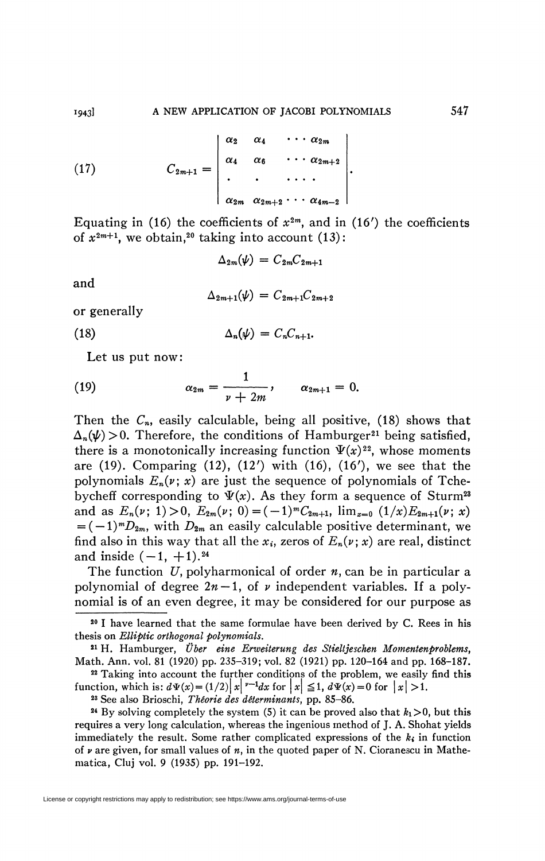(17) 
$$
C_{2m+1} = \begin{vmatrix} \alpha_2 & \alpha_4 & \cdots & \alpha_{2m} \\ \alpha_4 & \alpha_6 & \cdots & \alpha_{2m+2} \\ \vdots & \vdots & \ddots & \vdots \\ \alpha_{2m} & \alpha_{2m+2} & \cdots & \alpha_{4m-2} \end{vmatrix}.
$$

Equating in (16) the coefficients of  $x^{2m}$ , and in (16') the coefficients of  $x^{2m+1}$ , we obtain,<sup>20</sup> taking into account (13):

 $\Delta_{2m}(\psi) = C_{2m}C_{2m+1}$ 

and

$$
\Delta_{2m+1}(\psi) = C_{2m+1}C_{2m+2}
$$

or generally

(18)  $\Delta_n(\psi) = C_n C_{n+1}.$ 

Let us put now:

(19) 
$$
\alpha_{2m} = \frac{1}{\nu + 2m}, \qquad \alpha_{2m+1} = 0.
$$

Then the  $C_n$ , easily calculable, being all positive, (18) shows that  $\Delta_n(\psi) > 0$ . Therefore, the conditions of Hamburger<sup>21</sup> being satisfied, there is a monotonically increasing function  $\Psi(x)^{22}$ , whose moments are  $(19)$ . Comparing  $(12)$ ,  $(12')$  with  $(16)$ ,  $(16')$ , we see that the polynomials  $E_n(v; x)$  are just the sequence of polynomials of Tcheby cheff corresponding to  $\Psi(x)$ . As they form a sequence of Sturm<sup>23</sup> and as  $E_n(v; 1) > 0$ ,  $E_{2m}(v; 0) = (-1)^m C_{2m+1}$ ,  $\lim_{x \to 0} (1/x) E_{2m+1}(v; x)$  $= (-1)^m D_{2m}$ , with  $D_{2m}$  an easily calculable positive determinant, we find also in this way that all the  $x_i$ , zeros of  $E_n(v; x)$  are real, distinct and inside  $(-1, +1)$ . <sup>24</sup>

The function *U,* polyharmonical of order *n,* can be in particular a polynomial of degree  $2n-1$ , of  $\nu$  independent variables. If a polynomial is of an even degree, it may be considered for our purpose as

22 Taking into account the further conditions of the problem, we easily find this function, which is:  $d\Psi(x) = (1/2)|x|^{v-1}dx$  for  $|x| \leq 1$ ,  $d\Psi(x) = 0$  for  $|x| > 1$ .

23 See also Brioschi, *Théorie des determinants,* pp. 85-86.

<sup>24</sup> By solving completely the system (5) it can be proved also that  $k_1 > 0$ , but this requires a very long calculation, whereas the ingenious method of J. A. Shohat yields immediately the result. Some rather complicated expressions of the  $k_i$  in function of *v* are given, for small values of *n,* in the quoted paper of N. Cioranescu in Mathematica, Cluj vol. 9 (1935) pp. 191-192.

<sup>20</sup> I have learned that the same formulae have been derived by C. Rees in his thesis on *Elliptic orthogonal polynomials,* 

<sup>21</sup> H. Hamburger, *TJber eine Erweiterung des Stieltjeschen Momenienproblems,*  Math. Ann. vol. 81 (1920) pp. 235-319; vol. 82 (1921) pp. 120-164 and pp. 168-187.